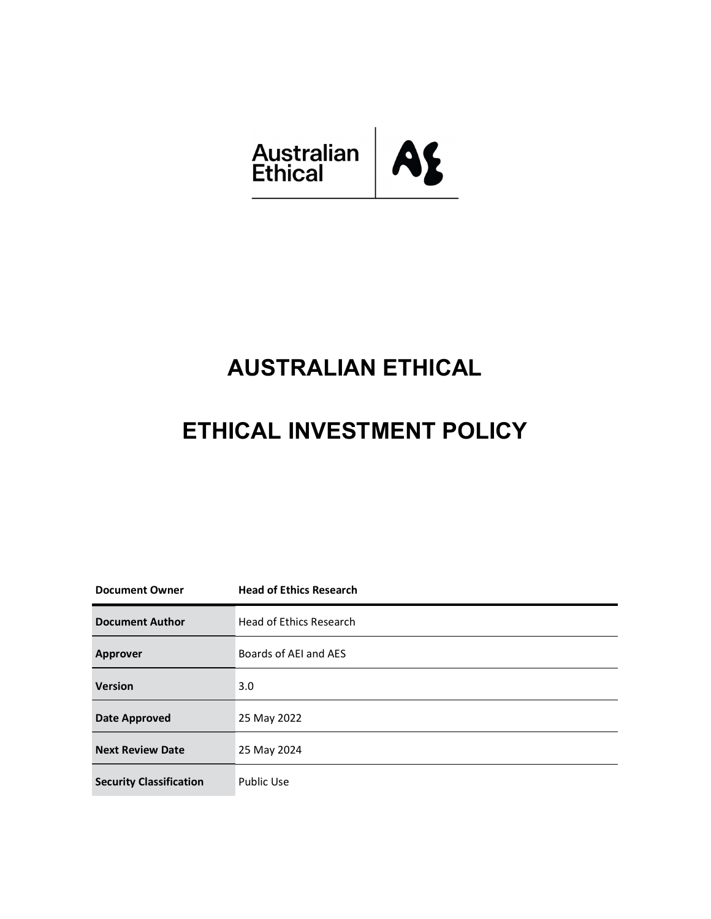

# AUSTRALIAN ETHICAL

# ETHICAL INVESTMENT POLICY

| <b>Document Owner</b>          | <b>Head of Ethics Research</b> |
|--------------------------------|--------------------------------|
| <b>Document Author</b>         | <b>Head of Ethics Research</b> |
| <b>Approver</b>                | Boards of AEI and AES          |
| <b>Version</b>                 | 3.0                            |
| <b>Date Approved</b>           | 25 May 2022                    |
| <b>Next Review Date</b>        | 25 May 2024                    |
| <b>Security Classification</b> | <b>Public Use</b>              |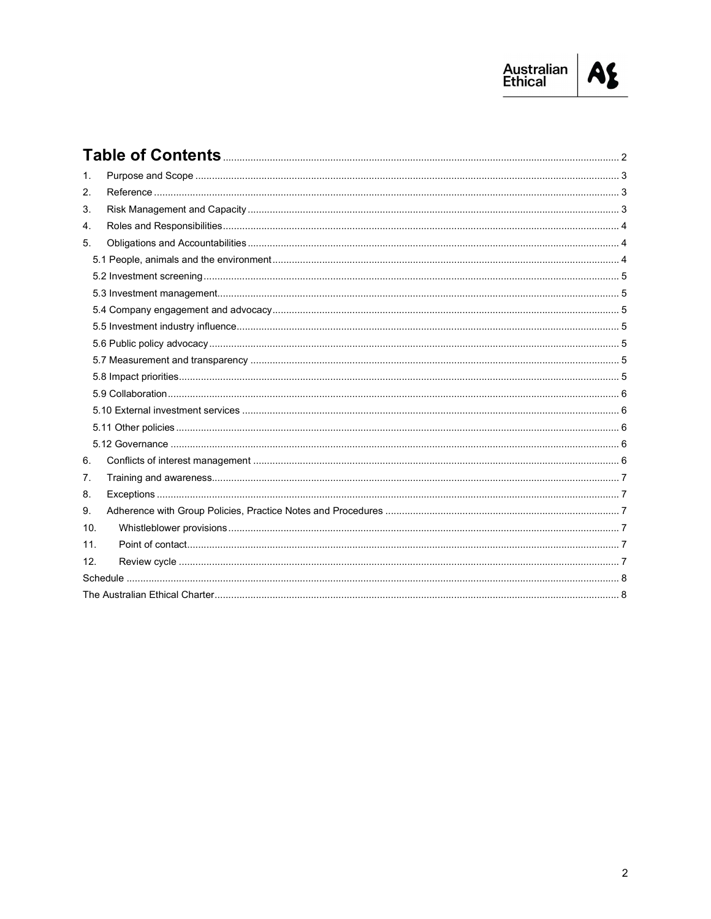

| 1.  |  |  |
|-----|--|--|
| 2.  |  |  |
| 3.  |  |  |
| 4.  |  |  |
| 5.  |  |  |
|     |  |  |
|     |  |  |
|     |  |  |
|     |  |  |
|     |  |  |
|     |  |  |
|     |  |  |
|     |  |  |
|     |  |  |
|     |  |  |
|     |  |  |
|     |  |  |
| 6.  |  |  |
| 7.  |  |  |
| 8.  |  |  |
| 9.  |  |  |
| 10. |  |  |
| 11. |  |  |
| 12. |  |  |
|     |  |  |
|     |  |  |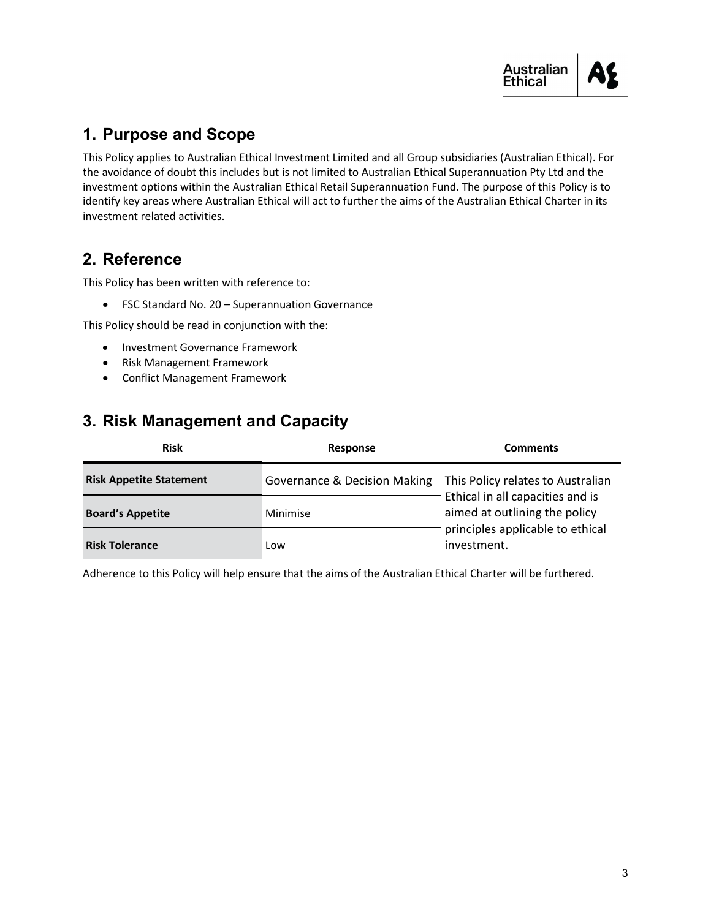

# 1. Purpose and Scope

This Policy applies to Australian Ethical Investment Limited and all Group subsidiaries (Australian Ethical). For the avoidance of doubt this includes but is not limited to Australian Ethical Superannuation Pty Ltd and the investment options within the Australian Ethical Retail Superannuation Fund. The purpose of this Policy is to identify key areas where Australian Ethical will act to further the aims of the Australian Ethical Charter in its investment related activities.

## 2. Reference

This Policy has been written with reference to:

FSC Standard No. 20 – Superannuation Governance

This Policy should be read in conjunction with the:

- Investment Governance Framework
- Risk Management Framework
- Conflict Management Framework

## 3. Risk Management and Capacity

| <b>Risk</b>                    | Response                     | <b>Comments</b>                                                                                                                                           |
|--------------------------------|------------------------------|-----------------------------------------------------------------------------------------------------------------------------------------------------------|
| <b>Risk Appetite Statement</b> | Governance & Decision Making | This Policy relates to Australian<br>Ethical in all capacities and is<br>aimed at outlining the policy<br>principles applicable to ethical<br>investment. |
| <b>Board's Appetite</b>        | Minimise                     |                                                                                                                                                           |
| <b>Risk Tolerance</b>          | Low                          |                                                                                                                                                           |

Adherence to this Policy will help ensure that the aims of the Australian Ethical Charter will be furthered.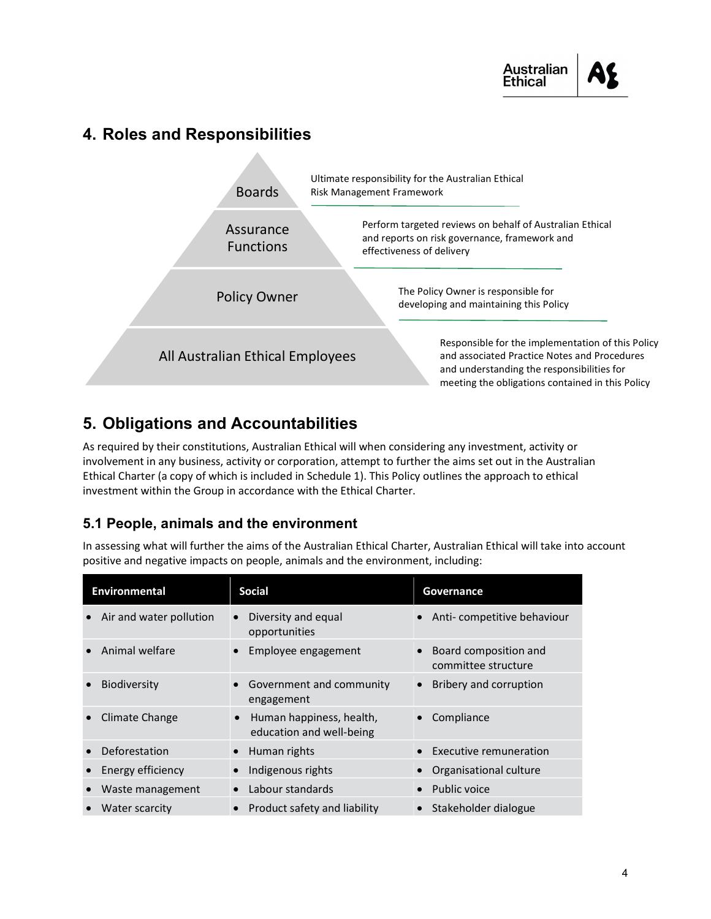

## 4. Roles and Responsibilities



# 5. Obligations and Accountabilities

As required by their constitutions, Australian Ethical will when considering any investment, activity or involvement in any business, activity or corporation, attempt to further the aims set out in the Australian Ethical Charter (a copy of which is included in Schedule 1). This Policy outlines the approach to ethical investment within the Group in accordance with the Ethical Charter.

#### 5.1 People, animals and the environment

In assessing what will further the aims of the Australian Ethical Charter, Australian Ethical will take into account positive and negative impacts on people, animals and the environment, including:

| <b>Environmental</b>    | <b>Social</b>                                                     | Governance                                   |
|-------------------------|-------------------------------------------------------------------|----------------------------------------------|
| Air and water pollution | Diversity and equal<br>opportunities                              | Anti-competitive behaviour                   |
| Animal welfare          | Employee engagement                                               | Board composition and<br>committee structure |
| <b>Biodiversity</b>     | Government and community<br>engagement                            | Bribery and corruption                       |
| Climate Change          | Human happiness, health,<br>$\bullet$<br>education and well-being | Compliance                                   |
| Deforestation           | Human rights                                                      | <b>Executive remuneration</b>                |
| Energy efficiency       | Indigenous rights                                                 | Organisational culture                       |
| Waste management        | Labour standards                                                  | Public voice                                 |
| Water scarcity          | Product safety and liability                                      | Stakeholder dialogue                         |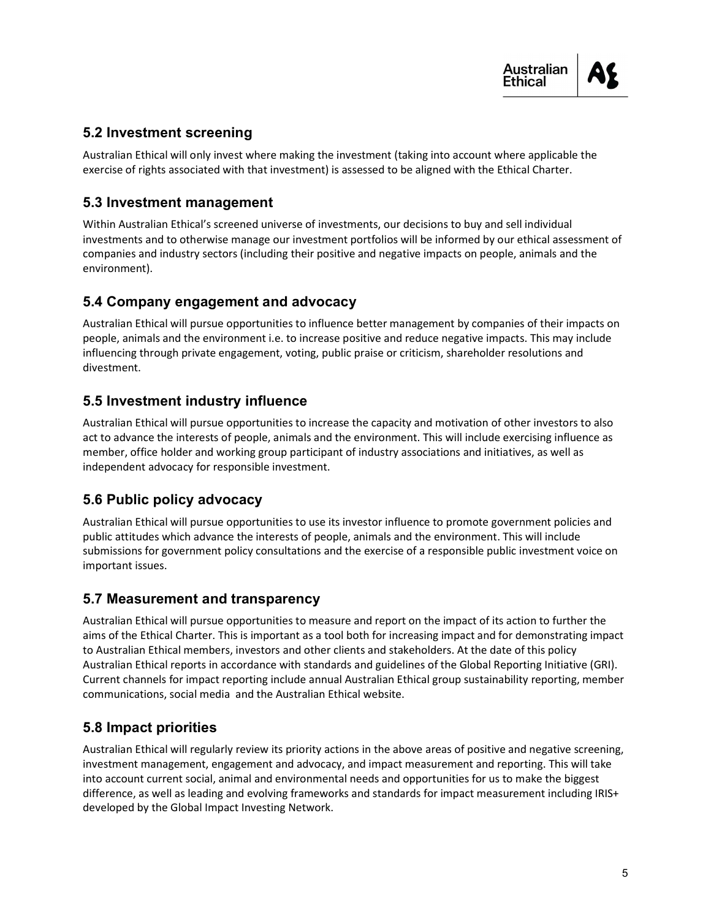#### 5.2 Investment screening

Australian Ethical will only invest where making the investment (taking into account where applicable the exercise of rights associated with that investment) is assessed to be aligned with the Ethical Charter.

#### 5.3 Investment management

Within Australian Ethical's screened universe of investments, our decisions to buy and sell individual investments and to otherwise manage our investment portfolios will be informed by our ethical assessment of companies and industry sectors (including their positive and negative impacts on people, animals and the environment).

#### 5.4 Company engagement and advocacy

Australian Ethical will pursue opportunities to influence better management by companies of their impacts on people, animals and the environment i.e. to increase positive and reduce negative impacts. This may include influencing through private engagement, voting, public praise or criticism, shareholder resolutions and divestment.

#### 5.5 Investment industry influence

Australian Ethical will pursue opportunities to increase the capacity and motivation of other investors to also act to advance the interests of people, animals and the environment. This will include exercising influence as member, office holder and working group participant of industry associations and initiatives, as well as independent advocacy for responsible investment.

#### 5.6 Public policy advocacy

Australian Ethical will pursue opportunities to use its investor influence to promote government policies and public attitudes which advance the interests of people, animals and the environment. This will include submissions for government policy consultations and the exercise of a responsible public investment voice on important issues.

#### 5.7 Measurement and transparency

Australian Ethical will pursue opportunities to measure and report on the impact of its action to further the aims of the Ethical Charter. This is important as a tool both for increasing impact and for demonstrating impact to Australian Ethical members, investors and other clients and stakeholders. At the date of this policy Australian Ethical reports in accordance with standards and guidelines of the Global Reporting Initiative (GRI). Current channels for impact reporting include annual Australian Ethical group sustainability reporting, member communications, social media and the Australian Ethical website.

#### 5.8 Impact priorities

Australian Ethical will regularly review its priority actions in the above areas of positive and negative screening, investment management, engagement and advocacy, and impact measurement and reporting. This will take into account current social, animal and environmental needs and opportunities for us to make the biggest difference, as well as leading and evolving frameworks and standards for impact measurement including IRIS+ developed by the Global Impact Investing Network.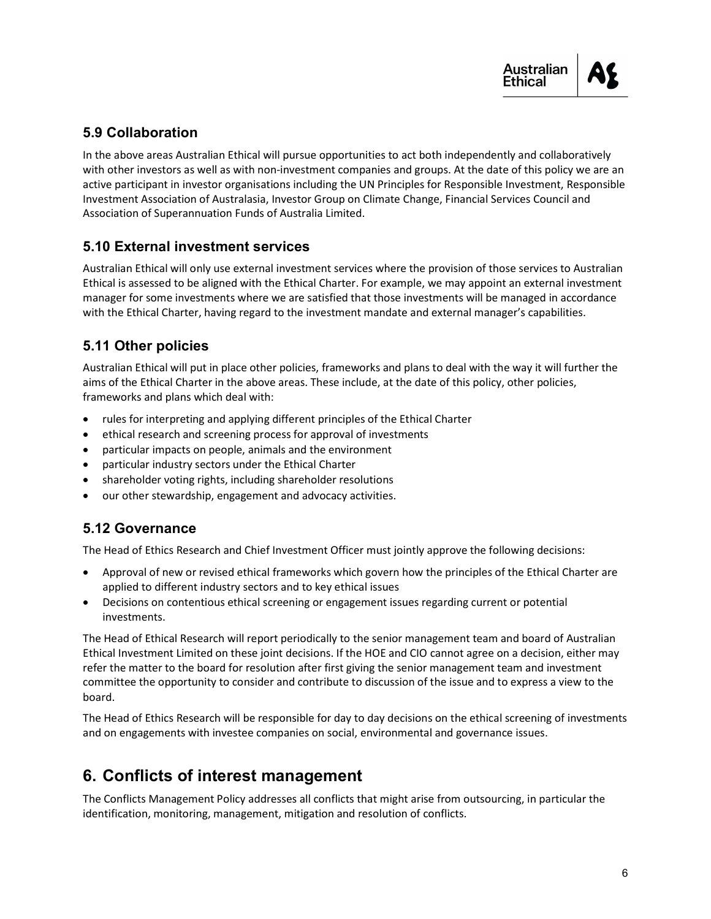#### 5.9 Collaboration

In the above areas Australian Ethical will pursue opportunities to act both independently and collaboratively with other investors as well as with non-investment companies and groups. At the date of this policy we are an active participant in investor organisations including the UN Principles for Responsible Investment, Responsible Investment Association of Australasia, Investor Group on Climate Change, Financial Services Council and Association of Superannuation Funds of Australia Limited.

#### 5.10 External investment services

Australian Ethical will only use external investment services where the provision of those services to Australian Ethical is assessed to be aligned with the Ethical Charter. For example, we may appoint an external investment manager for some investments where we are satisfied that those investments will be managed in accordance with the Ethical Charter, having regard to the investment mandate and external manager's capabilities.

#### 5.11 Other policies

Australian Ethical will put in place other policies, frameworks and plans to deal with the way it will further the aims of the Ethical Charter in the above areas. These include, at the date of this policy, other policies, frameworks and plans which deal with:

- rules for interpreting and applying different principles of the Ethical Charter
- ethical research and screening process for approval of investments
- particular impacts on people, animals and the environment
- particular industry sectors under the Ethical Charter
- shareholder voting rights, including shareholder resolutions
- our other stewardship, engagement and advocacy activities.

#### 5.12 Governance

The Head of Ethics Research and Chief Investment Officer must jointly approve the following decisions:

- Approval of new or revised ethical frameworks which govern how the principles of the Ethical Charter are applied to different industry sectors and to key ethical issues
- Decisions on contentious ethical screening or engagement issues regarding current or potential investments.

The Head of Ethical Research will report periodically to the senior management team and board of Australian Ethical Investment Limited on these joint decisions. If the HOE and CIO cannot agree on a decision, either may refer the matter to the board for resolution after first giving the senior management team and investment committee the opportunity to consider and contribute to discussion of the issue and to express a view to the board.

The Head of Ethics Research will be responsible for day to day decisions on the ethical screening of investments and on engagements with investee companies on social, environmental and governance issues.

# 6. Conflicts of interest management

The Conflicts Management Policy addresses all conflicts that might arise from outsourcing, in particular the identification, monitoring, management, mitigation and resolution of conflicts.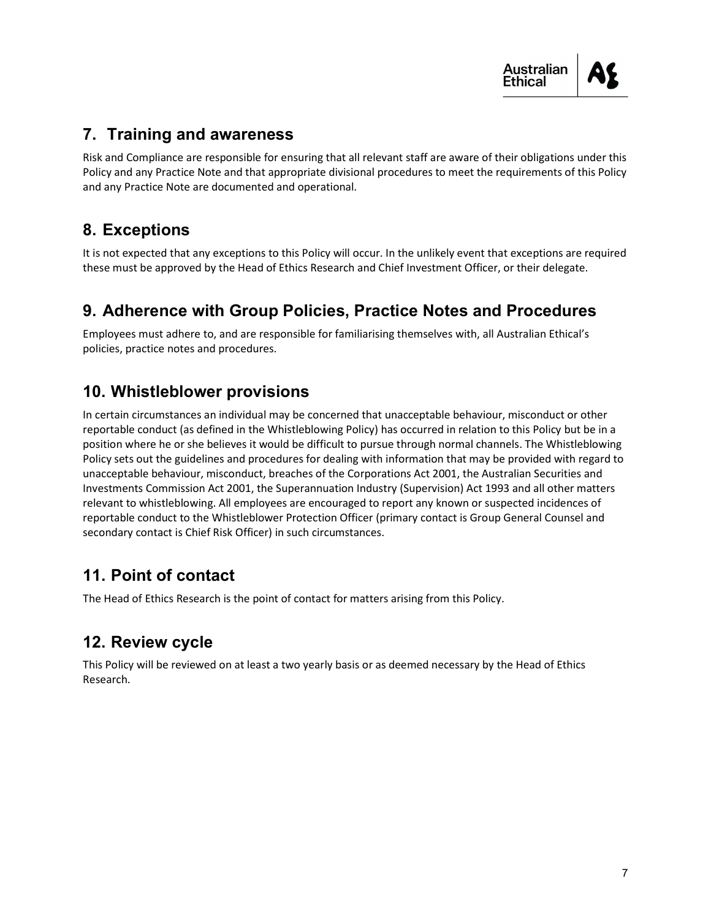

## 7. Training and awareness

Risk and Compliance are responsible for ensuring that all relevant staff are aware of their obligations under this Policy and any Practice Note and that appropriate divisional procedures to meet the requirements of this Policy and any Practice Note are documented and operational.

# 8. Exceptions

It is not expected that any exceptions to this Policy will occur. In the unlikely event that exceptions are required these must be approved by the Head of Ethics Research and Chief Investment Officer, or their delegate.

# 9. Adherence with Group Policies, Practice Notes and Procedures

Employees must adhere to, and are responsible for familiarising themselves with, all Australian Ethical's policies, practice notes and procedures.

## 10. Whistleblower provisions

In certain circumstances an individual may be concerned that unacceptable behaviour, misconduct or other reportable conduct (as defined in the Whistleblowing Policy) has occurred in relation to this Policy but be in a position where he or she believes it would be difficult to pursue through normal channels. The Whistleblowing Policy sets out the guidelines and procedures for dealing with information that may be provided with regard to unacceptable behaviour, misconduct, breaches of the Corporations Act 2001, the Australian Securities and Investments Commission Act 2001, the Superannuation Industry (Supervision) Act 1993 and all other matters relevant to whistleblowing. All employees are encouraged to report any known or suspected incidences of reportable conduct to the Whistleblower Protection Officer (primary contact is Group General Counsel and secondary contact is Chief Risk Officer) in such circumstances.

# 11. Point of contact

The Head of Ethics Research is the point of contact for matters arising from this Policy.

## 12. Review cycle

This Policy will be reviewed on at least a two yearly basis or as deemed necessary by the Head of Ethics Research.